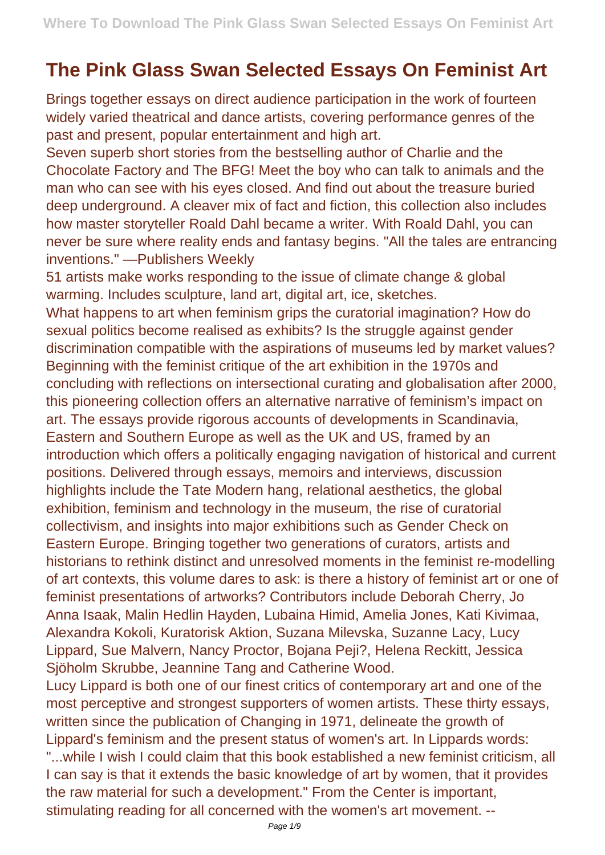## **The Pink Glass Swan Selected Essays On Feminist Art**

Brings together essays on direct audience participation in the work of fourteen widely varied theatrical and dance artists, covering performance genres of the past and present, popular entertainment and high art.

Seven superb short stories from the bestselling author of Charlie and the Chocolate Factory and The BFG! Meet the boy who can talk to animals and the man who can see with his eyes closed. And find out about the treasure buried deep underground. A cleaver mix of fact and fiction, this collection also includes how master storyteller Roald Dahl became a writer. With Roald Dahl, you can never be sure where reality ends and fantasy begins. "All the tales are entrancing inventions." —Publishers Weekly

51 artists make works responding to the issue of climate change & global warming. Includes sculpture, land art, digital art, ice, sketches.

What happens to art when feminism grips the curatorial imagination? How do sexual politics become realised as exhibits? Is the struggle against gender discrimination compatible with the aspirations of museums led by market values? Beginning with the feminist critique of the art exhibition in the 1970s and concluding with reflections on intersectional curating and globalisation after 2000, this pioneering collection offers an alternative narrative of feminism's impact on art. The essays provide rigorous accounts of developments in Scandinavia, Eastern and Southern Europe as well as the UK and US, framed by an introduction which offers a politically engaging navigation of historical and current positions. Delivered through essays, memoirs and interviews, discussion highlights include the Tate Modern hang, relational aesthetics, the global exhibition, feminism and technology in the museum, the rise of curatorial collectivism, and insights into major exhibitions such as Gender Check on Eastern Europe. Bringing together two generations of curators, artists and historians to rethink distinct and unresolved moments in the feminist re-modelling of art contexts, this volume dares to ask: is there a history of feminist art or one of feminist presentations of artworks? Contributors include Deborah Cherry, Jo Anna Isaak, Malin Hedlin Hayden, Lubaina Himid, Amelia Jones, Kati Kivimaa, Alexandra Kokoli, Kuratorisk Aktion, Suzana Milevska, Suzanne Lacy, Lucy Lippard, Sue Malvern, Nancy Proctor, Bojana Peji?, Helena Reckitt, Jessica Sjöholm Skrubbe, Jeannine Tang and Catherine Wood.

Lucy Lippard is both one of our finest critics of contemporary art and one of the most perceptive and strongest supporters of women artists. These thirty essays, written since the publication of Changing in 1971, delineate the growth of Lippard's feminism and the present status of women's art. In Lippards words: "...while I wish I could claim that this book established a new feminist criticism, all I can say is that it extends the basic knowledge of art by women, that it provides the raw material for such a development." From the Center is important, stimulating reading for all concerned with the women's art movement. --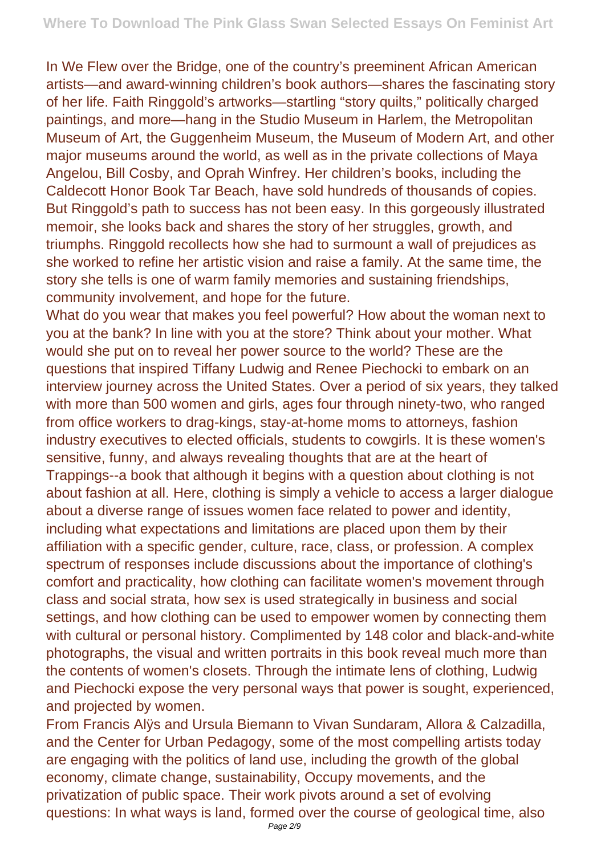In We Flew over the Bridge, one of the country's preeminent African American artists—and award-winning children's book authors—shares the fascinating story of her life. Faith Ringgold's artworks—startling "story quilts," politically charged paintings, and more—hang in the Studio Museum in Harlem, the Metropolitan Museum of Art, the Guggenheim Museum, the Museum of Modern Art, and other major museums around the world, as well as in the private collections of Maya Angelou, Bill Cosby, and Oprah Winfrey. Her children's books, including the Caldecott Honor Book Tar Beach, have sold hundreds of thousands of copies. But Ringgold's path to success has not been easy. In this gorgeously illustrated memoir, she looks back and shares the story of her struggles, growth, and triumphs. Ringgold recollects how she had to surmount a wall of prejudices as she worked to refine her artistic vision and raise a family. At the same time, the story she tells is one of warm family memories and sustaining friendships, community involvement, and hope for the future.

What do you wear that makes you feel powerful? How about the woman next to you at the bank? In line with you at the store? Think about your mother. What would she put on to reveal her power source to the world? These are the questions that inspired Tiffany Ludwig and Renee Piechocki to embark on an interview journey across the United States. Over a period of six years, they talked with more than 500 women and girls, ages four through ninety-two, who ranged from office workers to drag-kings, stay-at-home moms to attorneys, fashion industry executives to elected officials, students to cowgirls. It is these women's sensitive, funny, and always revealing thoughts that are at the heart of Trappings--a book that although it begins with a question about clothing is not about fashion at all. Here, clothing is simply a vehicle to access a larger dialogue about a diverse range of issues women face related to power and identity, including what expectations and limitations are placed upon them by their affiliation with a specific gender, culture, race, class, or profession. A complex spectrum of responses include discussions about the importance of clothing's comfort and practicality, how clothing can facilitate women's movement through class and social strata, how sex is used strategically in business and social settings, and how clothing can be used to empower women by connecting them with cultural or personal history. Complimented by 148 color and black-and-white photographs, the visual and written portraits in this book reveal much more than the contents of women's closets. Through the intimate lens of clothing, Ludwig and Piechocki expose the very personal ways that power is sought, experienced, and projected by women.

From Francis Alÿs and Ursula Biemann to Vivan Sundaram, Allora & Calzadilla, and the Center for Urban Pedagogy, some of the most compelling artists today are engaging with the politics of land use, including the growth of the global economy, climate change, sustainability, Occupy movements, and the privatization of public space. Their work pivots around a set of evolving questions: In what ways is land, formed over the course of geological time, also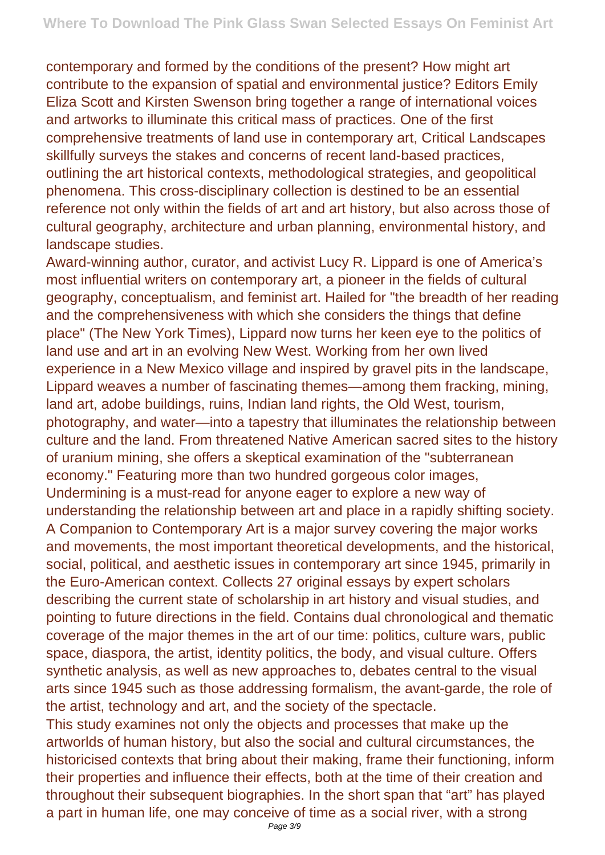contemporary and formed by the conditions of the present? How might art contribute to the expansion of spatial and environmental justice? Editors Emily Eliza Scott and Kirsten Swenson bring together a range of international voices and artworks to illuminate this critical mass of practices. One of the first comprehensive treatments of land use in contemporary art, Critical Landscapes skillfully surveys the stakes and concerns of recent land-based practices, outlining the art historical contexts, methodological strategies, and geopolitical phenomena. This cross-disciplinary collection is destined to be an essential reference not only within the fields of art and art history, but also across those of cultural geography, architecture and urban planning, environmental history, and landscape studies.

Award-winning author, curator, and activist Lucy R. Lippard is one of America's most influential writers on contemporary art, a pioneer in the fields of cultural geography, conceptualism, and feminist art. Hailed for "the breadth of her reading and the comprehensiveness with which she considers the things that define place" (The New York Times), Lippard now turns her keen eye to the politics of land use and art in an evolving New West. Working from her own lived experience in a New Mexico village and inspired by gravel pits in the landscape, Lippard weaves a number of fascinating themes—among them fracking, mining, land art, adobe buildings, ruins, Indian land rights, the Old West, tourism, photography, and water—into a tapestry that illuminates the relationship between culture and the land. From threatened Native American sacred sites to the history of uranium mining, she offers a skeptical examination of the "subterranean economy." Featuring more than two hundred gorgeous color images, Undermining is a must-read for anyone eager to explore a new way of understanding the relationship between art and place in a rapidly shifting society. A Companion to Contemporary Art is a major survey covering the major works and movements, the most important theoretical developments, and the historical, social, political, and aesthetic issues in contemporary art since 1945, primarily in the Euro-American context. Collects 27 original essays by expert scholars describing the current state of scholarship in art history and visual studies, and pointing to future directions in the field. Contains dual chronological and thematic coverage of the major themes in the art of our time: politics, culture wars, public space, diaspora, the artist, identity politics, the body, and visual culture. Offers synthetic analysis, as well as new approaches to, debates central to the visual arts since 1945 such as those addressing formalism, the avant-garde, the role of the artist, technology and art, and the society of the spectacle.

This study examines not only the objects and processes that make up the artworlds of human history, but also the social and cultural circumstances, the historicised contexts that bring about their making, frame their functioning, inform their properties and influence their effects, both at the time of their creation and throughout their subsequent biographies. In the short span that "art" has played a part in human life, one may conceive of time as a social river, with a strong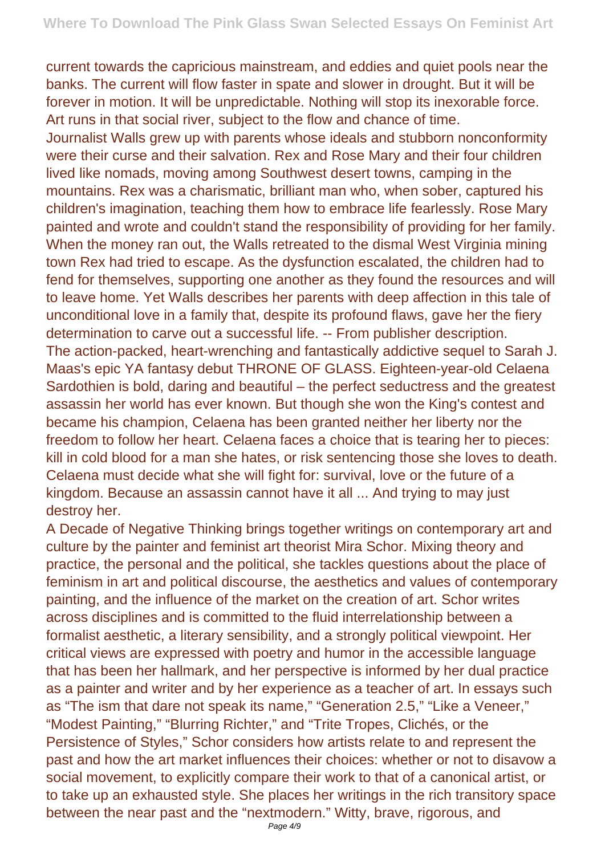current towards the capricious mainstream, and eddies and quiet pools near the banks. The current will flow faster in spate and slower in drought. But it will be forever in motion. It will be unpredictable. Nothing will stop its inexorable force. Art runs in that social river, subject to the flow and chance of time.

Journalist Walls grew up with parents whose ideals and stubborn nonconformity were their curse and their salvation. Rex and Rose Mary and their four children lived like nomads, moving among Southwest desert towns, camping in the mountains. Rex was a charismatic, brilliant man who, when sober, captured his children's imagination, teaching them how to embrace life fearlessly. Rose Mary painted and wrote and couldn't stand the responsibility of providing for her family. When the money ran out, the Walls retreated to the dismal West Virginia mining town Rex had tried to escape. As the dysfunction escalated, the children had to fend for themselves, supporting one another as they found the resources and will to leave home. Yet Walls describes her parents with deep affection in this tale of unconditional love in a family that, despite its profound flaws, gave her the fiery determination to carve out a successful life. -- From publisher description. The action-packed, heart-wrenching and fantastically addictive sequel to Sarah J. Maas's epic YA fantasy debut THRONE OF GLASS. Eighteen-year-old Celaena Sardothien is bold, daring and beautiful – the perfect seductress and the greatest assassin her world has ever known. But though she won the King's contest and became his champion, Celaena has been granted neither her liberty nor the freedom to follow her heart. Celaena faces a choice that is tearing her to pieces: kill in cold blood for a man she hates, or risk sentencing those she loves to death. Celaena must decide what she will fight for: survival, love or the future of a kingdom. Because an assassin cannot have it all ... And trying to may just destroy her.

A Decade of Negative Thinking brings together writings on contemporary art and culture by the painter and feminist art theorist Mira Schor. Mixing theory and practice, the personal and the political, she tackles questions about the place of feminism in art and political discourse, the aesthetics and values of contemporary painting, and the influence of the market on the creation of art. Schor writes across disciplines and is committed to the fluid interrelationship between a formalist aesthetic, a literary sensibility, and a strongly political viewpoint. Her critical views are expressed with poetry and humor in the accessible language that has been her hallmark, and her perspective is informed by her dual practice as a painter and writer and by her experience as a teacher of art. In essays such as "The ism that dare not speak its name," "Generation 2.5," "Like a Veneer," "Modest Painting," "Blurring Richter," and "Trite Tropes, Clichés, or the Persistence of Styles," Schor considers how artists relate to and represent the past and how the art market influences their choices: whether or not to disavow a social movement, to explicitly compare their work to that of a canonical artist, or to take up an exhausted style. She places her writings in the rich transitory space between the near past and the "nextmodern." Witty, brave, rigorous, and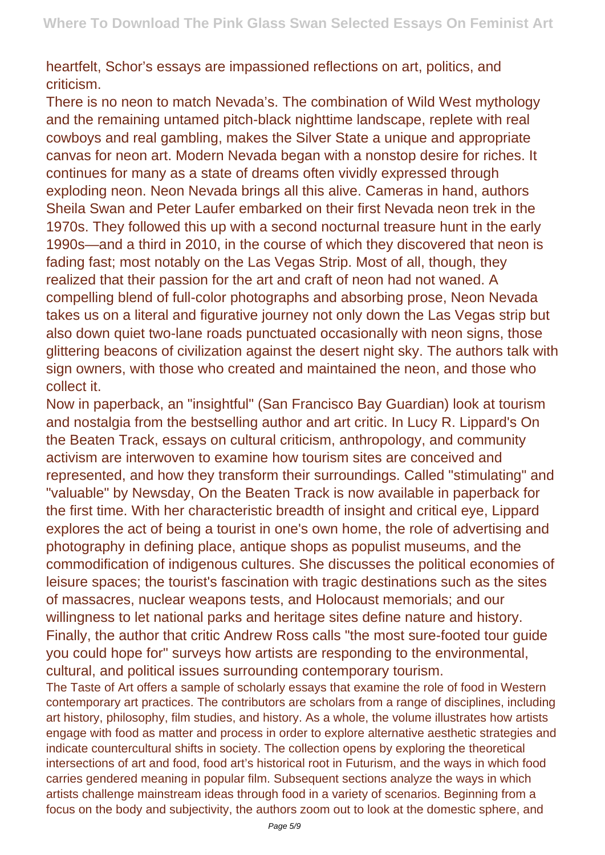heartfelt, Schor's essays are impassioned reflections on art, politics, and criticism.

There is no neon to match Nevada's. The combination of Wild West mythology and the remaining untamed pitch-black nighttime landscape, replete with real cowboys and real gambling, makes the Silver State a unique and appropriate canvas for neon art. Modern Nevada began with a nonstop desire for riches. It continues for many as a state of dreams often vividly expressed through exploding neon. Neon Nevada brings all this alive. Cameras in hand, authors Sheila Swan and Peter Laufer embarked on their first Nevada neon trek in the 1970s. They followed this up with a second nocturnal treasure hunt in the early 1990s—and a third in 2010, in the course of which they discovered that neon is fading fast; most notably on the Las Vegas Strip. Most of all, though, they realized that their passion for the art and craft of neon had not waned. A compelling blend of full-color photographs and absorbing prose, Neon Nevada takes us on a literal and figurative journey not only down the Las Vegas strip but also down quiet two-lane roads punctuated occasionally with neon signs, those glittering beacons of civilization against the desert night sky. The authors talk with sign owners, with those who created and maintained the neon, and those who collect it.

Now in paperback, an "insightful" (San Francisco Bay Guardian) look at tourism and nostalgia from the bestselling author and art critic. In Lucy R. Lippard's On the Beaten Track, essays on cultural criticism, anthropology, and community activism are interwoven to examine how tourism sites are conceived and represented, and how they transform their surroundings. Called "stimulating" and "valuable" by Newsday, On the Beaten Track is now available in paperback for the first time. With her characteristic breadth of insight and critical eye, Lippard explores the act of being a tourist in one's own home, the role of advertising and photography in defining place, antique shops as populist museums, and the commodification of indigenous cultures. She discusses the political economies of leisure spaces; the tourist's fascination with tragic destinations such as the sites of massacres, nuclear weapons tests, and Holocaust memorials; and our willingness to let national parks and heritage sites define nature and history. Finally, the author that critic Andrew Ross calls "the most sure-footed tour guide you could hope for" surveys how artists are responding to the environmental, cultural, and political issues surrounding contemporary tourism.

The Taste of Art offers a sample of scholarly essays that examine the role of food in Western contemporary art practices. The contributors are scholars from a range of disciplines, including art history, philosophy, film studies, and history. As a whole, the volume illustrates how artists engage with food as matter and process in order to explore alternative aesthetic strategies and indicate countercultural shifts in society. The collection opens by exploring the theoretical intersections of art and food, food art's historical root in Futurism, and the ways in which food carries gendered meaning in popular film. Subsequent sections analyze the ways in which artists challenge mainstream ideas through food in a variety of scenarios. Beginning from a focus on the body and subjectivity, the authors zoom out to look at the domestic sphere, and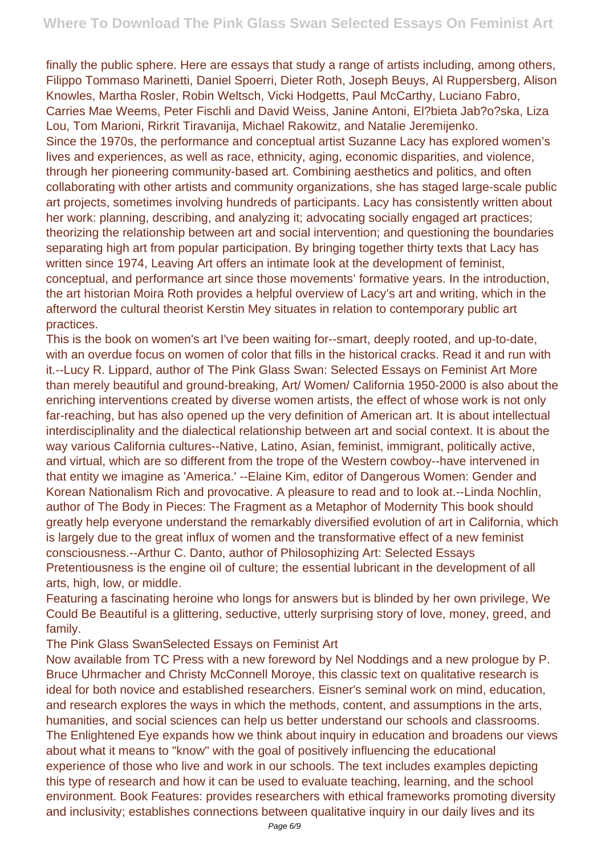finally the public sphere. Here are essays that study a range of artists including, among others, Filippo Tommaso Marinetti, Daniel Spoerri, Dieter Roth, Joseph Beuys, Al Ruppersberg, Alison Knowles, Martha Rosler, Robin Weltsch, Vicki Hodgetts, Paul McCarthy, Luciano Fabro, Carries Mae Weems, Peter Fischli and David Weiss, Janine Antoni, El?bieta Jab?o?ska, Liza Lou, Tom Marioni, Rirkrit Tiravanija, Michael Rakowitz, and Natalie Jeremijenko.

Since the 1970s, the performance and conceptual artist Suzanne Lacy has explored women's lives and experiences, as well as race, ethnicity, aging, economic disparities, and violence, through her pioneering community-based art. Combining aesthetics and politics, and often collaborating with other artists and community organizations, she has staged large-scale public art projects, sometimes involving hundreds of participants. Lacy has consistently written about her work: planning, describing, and analyzing it; advocating socially engaged art practices; theorizing the relationship between art and social intervention; and questioning the boundaries separating high art from popular participation. By bringing together thirty texts that Lacy has written since 1974, Leaving Art offers an intimate look at the development of feminist, conceptual, and performance art since those movements' formative years. In the introduction, the art historian Moira Roth provides a helpful overview of Lacy's art and writing, which in the afterword the cultural theorist Kerstin Mey situates in relation to contemporary public art practices.

This is the book on women's art I've been waiting for--smart, deeply rooted, and up-to-date, with an overdue focus on women of color that fills in the historical cracks. Read it and run with it.--Lucy R. Lippard, author of The Pink Glass Swan: Selected Essays on Feminist Art More than merely beautiful and ground-breaking, Art/ Women/ California 1950-2000 is also about the enriching interventions created by diverse women artists, the effect of whose work is not only far-reaching, but has also opened up the very definition of American art. It is about intellectual interdisciplinality and the dialectical relationship between art and social context. It is about the way various California cultures--Native, Latino, Asian, feminist, immigrant, politically active, and virtual, which are so different from the trope of the Western cowboy--have intervened in that entity we imagine as 'America.' --Elaine Kim, editor of Dangerous Women: Gender and Korean Nationalism Rich and provocative. A pleasure to read and to look at.--Linda Nochlin, author of The Body in Pieces: The Fragment as a Metaphor of Modernity This book should greatly help everyone understand the remarkably diversified evolution of art in California, which is largely due to the great influx of women and the transformative effect of a new feminist consciousness.--Arthur C. Danto, author of Philosophizing Art: Selected Essays Pretentiousness is the engine oil of culture; the essential lubricant in the development of all arts, high, low, or middle.

Featuring a fascinating heroine who longs for answers but is blinded by her own privilege, We Could Be Beautiful is a glittering, seductive, utterly surprising story of love, money, greed, and family.

The Pink Glass SwanSelected Essays on Feminist Art

Now available from TC Press with a new foreword by Nel Noddings and a new prologue by P. Bruce Uhrmacher and Christy McConnell Moroye, this classic text on qualitative research is ideal for both novice and established researchers. Eisner's seminal work on mind, education, and research explores the ways in which the methods, content, and assumptions in the arts, humanities, and social sciences can help us better understand our schools and classrooms. The Enlightened Eye expands how we think about inquiry in education and broadens our views about what it means to "know" with the goal of positively influencing the educational experience of those who live and work in our schools. The text includes examples depicting this type of research and how it can be used to evaluate teaching, learning, and the school environment. Book Features: provides researchers with ethical frameworks promoting diversity and inclusivity; establishes connections between qualitative inquiry in our daily lives and its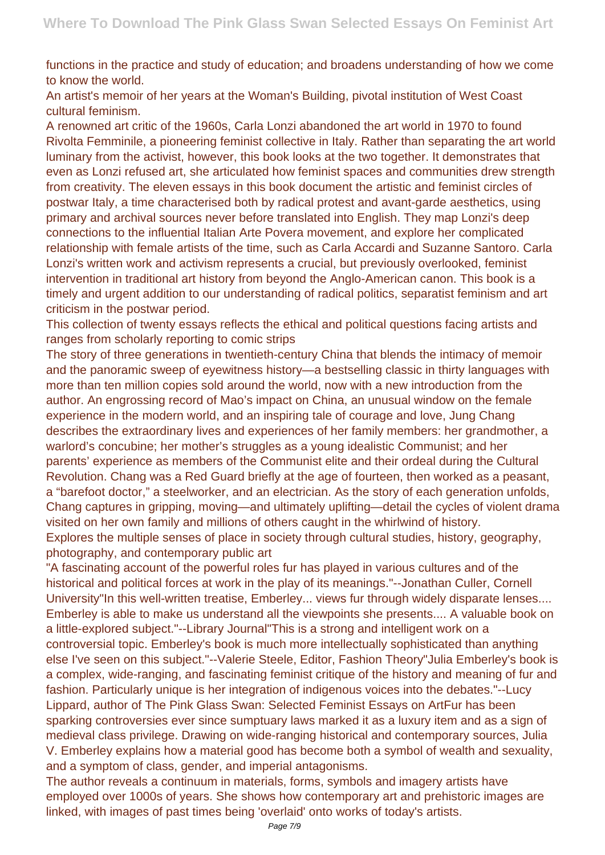functions in the practice and study of education; and broadens understanding of how we come to know the world.

An artist's memoir of her years at the Woman's Building, pivotal institution of West Coast cultural feminism.

A renowned art critic of the 1960s, Carla Lonzi abandoned the art world in 1970 to found Rivolta Femminile, a pioneering feminist collective in Italy. Rather than separating the art world luminary from the activist, however, this book looks at the two together. It demonstrates that even as Lonzi refused art, she articulated how feminist spaces and communities drew strength from creativity. The eleven essays in this book document the artistic and feminist circles of postwar Italy, a time characterised both by radical protest and avant-garde aesthetics, using primary and archival sources never before translated into English. They map Lonzi's deep connections to the influential Italian Arte Povera movement, and explore her complicated relationship with female artists of the time, such as Carla Accardi and Suzanne Santoro. Carla Lonzi's written work and activism represents a crucial, but previously overlooked, feminist intervention in traditional art history from beyond the Anglo-American canon. This book is a timely and urgent addition to our understanding of radical politics, separatist feminism and art criticism in the postwar period.

This collection of twenty essays reflects the ethical and political questions facing artists and ranges from scholarly reporting to comic strips

The story of three generations in twentieth-century China that blends the intimacy of memoir and the panoramic sweep of eyewitness history—a bestselling classic in thirty languages with more than ten million copies sold around the world, now with a new introduction from the author. An engrossing record of Mao's impact on China, an unusual window on the female experience in the modern world, and an inspiring tale of courage and love, Jung Chang describes the extraordinary lives and experiences of her family members: her grandmother, a warlord's concubine; her mother's struggles as a young idealistic Communist; and her parents' experience as members of the Communist elite and their ordeal during the Cultural Revolution. Chang was a Red Guard briefly at the age of fourteen, then worked as a peasant, a "barefoot doctor," a steelworker, and an electrician. As the story of each generation unfolds, Chang captures in gripping, moving—and ultimately uplifting—detail the cycles of violent drama visited on her own family and millions of others caught in the whirlwind of history. Explores the multiple senses of place in society through cultural studies, history, geography, photography, and contemporary public art

"A fascinating account of the powerful roles fur has played in various cultures and of the historical and political forces at work in the play of its meanings."--Jonathan Culler, Cornell University"In this well-written treatise, Emberley... views fur through widely disparate lenses.... Emberley is able to make us understand all the viewpoints she presents.... A valuable book on a little-explored subject."--Library Journal"This is a strong and intelligent work on a controversial topic. Emberley's book is much more intellectually sophisticated than anything else I've seen on this subject."--Valerie Steele, Editor, Fashion Theory"Julia Emberley's book is a complex, wide-ranging, and fascinating feminist critique of the history and meaning of fur and fashion. Particularly unique is her integration of indigenous voices into the debates."--Lucy Lippard, author of The Pink Glass Swan: Selected Feminist Essays on ArtFur has been sparking controversies ever since sumptuary laws marked it as a luxury item and as a sign of medieval class privilege. Drawing on wide-ranging historical and contemporary sources, Julia V. Emberley explains how a material good has become both a symbol of wealth and sexuality, and a symptom of class, gender, and imperial antagonisms.

The author reveals a continuum in materials, forms, symbols and imagery artists have employed over 1000s of years. She shows how contemporary art and prehistoric images are linked, with images of past times being 'overlaid' onto works of today's artists.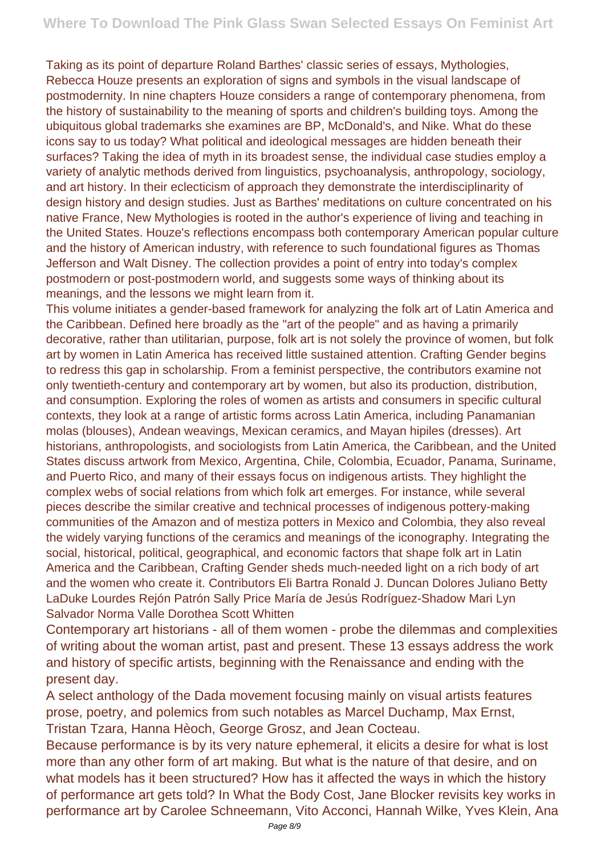Taking as its point of departure Roland Barthes' classic series of essays, Mythologies, Rebecca Houze presents an exploration of signs and symbols in the visual landscape of postmodernity. In nine chapters Houze considers a range of contemporary phenomena, from the history of sustainability to the meaning of sports and children's building toys. Among the ubiquitous global trademarks she examines are BP, McDonald's, and Nike. What do these icons say to us today? What political and ideological messages are hidden beneath their surfaces? Taking the idea of myth in its broadest sense, the individual case studies employ a variety of analytic methods derived from linguistics, psychoanalysis, anthropology, sociology, and art history. In their eclecticism of approach they demonstrate the interdisciplinarity of design history and design studies. Just as Barthes' meditations on culture concentrated on his native France, New Mythologies is rooted in the author's experience of living and teaching in the United States. Houze's reflections encompass both contemporary American popular culture and the history of American industry, with reference to such foundational figures as Thomas Jefferson and Walt Disney. The collection provides a point of entry into today's complex postmodern or post-postmodern world, and suggests some ways of thinking about its meanings, and the lessons we might learn from it.

This volume initiates a gender-based framework for analyzing the folk art of Latin America and the Caribbean. Defined here broadly as the "art of the people" and as having a primarily decorative, rather than utilitarian, purpose, folk art is not solely the province of women, but folk art by women in Latin America has received little sustained attention. Crafting Gender begins to redress this gap in scholarship. From a feminist perspective, the contributors examine not only twentieth-century and contemporary art by women, but also its production, distribution, and consumption. Exploring the roles of women as artists and consumers in specific cultural contexts, they look at a range of artistic forms across Latin America, including Panamanian molas (blouses), Andean weavings, Mexican ceramics, and Mayan hipiles (dresses). Art historians, anthropologists, and sociologists from Latin America, the Caribbean, and the United States discuss artwork from Mexico, Argentina, Chile, Colombia, Ecuador, Panama, Suriname, and Puerto Rico, and many of their essays focus on indigenous artists. They highlight the complex webs of social relations from which folk art emerges. For instance, while several pieces describe the similar creative and technical processes of indigenous pottery-making communities of the Amazon and of mestiza potters in Mexico and Colombia, they also reveal the widely varying functions of the ceramics and meanings of the iconography. Integrating the social, historical, political, geographical, and economic factors that shape folk art in Latin America and the Caribbean, Crafting Gender sheds much-needed light on a rich body of art and the women who create it. Contributors Eli Bartra Ronald J. Duncan Dolores Juliano Betty LaDuke Lourdes Rejón Patrón Sally Price María de Jesús Rodríguez-Shadow Mari Lyn Salvador Norma Valle Dorothea Scott Whitten

Contemporary art historians - all of them women - probe the dilemmas and complexities of writing about the woman artist, past and present. These 13 essays address the work and history of specific artists, beginning with the Renaissance and ending with the present day.

A select anthology of the Dada movement focusing mainly on visual artists features prose, poetry, and polemics from such notables as Marcel Duchamp, Max Ernst, Tristan Tzara, Hanna Hèoch, George Grosz, and Jean Cocteau.

Because performance is by its very nature ephemeral, it elicits a desire for what is lost more than any other form of art making. But what is the nature of that desire, and on what models has it been structured? How has it affected the ways in which the history of performance art gets told? In What the Body Cost, Jane Blocker revisits key works in performance art by Carolee Schneemann, Vito Acconci, Hannah Wilke, Yves Klein, Ana